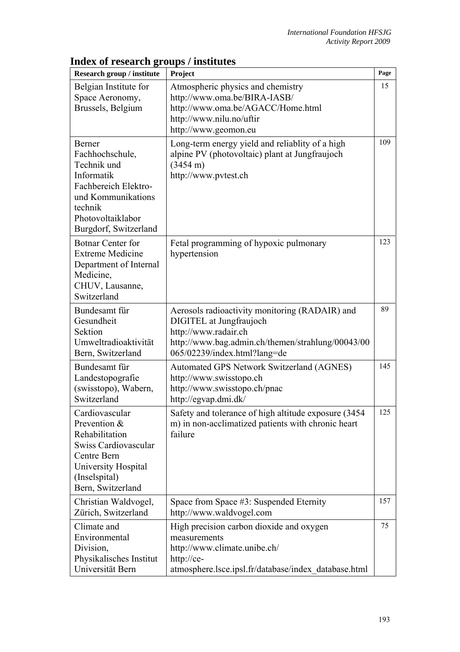| Research group / institute                                                                                                                                    | Project                                                                                                                                                                                | Page |
|---------------------------------------------------------------------------------------------------------------------------------------------------------------|----------------------------------------------------------------------------------------------------------------------------------------------------------------------------------------|------|
| Belgian Institute for<br>Space Aeronomy,<br>Brussels, Belgium                                                                                                 | Atmospheric physics and chemistry<br>http://www.oma.be/BIRA-IASB/<br>http://www.oma.be/AGACC/Home.html<br>http://www.nilu.no/uftir<br>http://www.geomon.eu                             | 15   |
| Berner<br>Fachhochschule,<br>Technik und<br>Informatik<br>Fachbereich Elektro-<br>und Kommunikations<br>technik<br>Photovoltaiklabor<br>Burgdorf, Switzerland | Long-term energy yield and reliablity of a high<br>alpine PV (photovoltaic) plant at Jungfraujoch<br>$(3454 \text{ m})$<br>http://www.pvtest.ch                                        | 109  |
| <b>Botnar Center for</b><br><b>Extreme Medicine</b><br>Department of Internal<br>Medicine,<br>CHUV, Lausanne,<br>Switzerland                                  | Fetal programming of hypoxic pulmonary<br>hypertension                                                                                                                                 | 123  |
| Bundesamt für<br>Gesundheit<br>Sektion<br>Umweltradioaktivität<br>Bern, Switzerland                                                                           | Aerosols radioactivity monitoring (RADAIR) and<br>DIGITEL at Jungfraujoch<br>http://www.radair.ch<br>http://www.bag.admin.ch/themen/strahlung/00043/00<br>065/02239/index.html?lang=de | 89   |
| Bundesamt für<br>Landestopografie<br>(swisstopo), Wabern,<br>Switzerland                                                                                      | Automated GPS Network Switzerland (AGNES)<br>http://www.swisstopo.ch<br>http://www.swisstopo.ch/pnac<br>http://egvap.dmi.dk/                                                           | 145  |
| Cardiovascular<br>Prevention &<br>Rehabilitation<br>Swiss Cardiovascular<br>Centre Bern<br>University Hospital<br>(Inselspital)<br>Bern, Switzerland          | Safety and tolerance of high altitude exposure (3454)<br>m) in non-acclimatized patients with chronic heart<br>failure                                                                 | 125  |
| Christian Waldvogel,<br>Zürich, Switzerland                                                                                                                   | Space from Space #3: Suspended Eternity<br>http://www.waldvogel.com                                                                                                                    | 157  |
| Climate and<br>Environmental<br>Division,<br>Physikalisches Institut<br>Universität Bern                                                                      | High precision carbon dioxide and oxygen<br>measurements<br>http://www.climate.unibe.ch/<br>http://ce-<br>atmosphere.lsce.ipsl.fr/database/index database.html                         | 75   |

## **Index of research groups / institutes**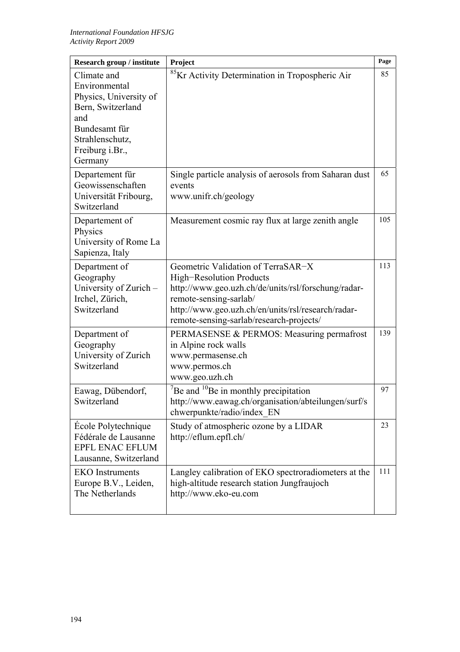| Research group / institute                                                                                                                           | Project                                                                                                                                                                                                                                           | Page |
|------------------------------------------------------------------------------------------------------------------------------------------------------|---------------------------------------------------------------------------------------------------------------------------------------------------------------------------------------------------------------------------------------------------|------|
| Climate and<br>Environmental<br>Physics, University of<br>Bern, Switzerland<br>and<br>Bundesamt für<br>Strahlenschutz,<br>Freiburg i.Br.,<br>Germany | <sup>85</sup> Kr Activity Determination in Tropospheric Air                                                                                                                                                                                       | 85   |
| Departement für<br>Geowissenschaften<br>Universität Fribourg,<br>Switzerland                                                                         | Single particle analysis of aerosols from Saharan dust<br>events<br>www.unifr.ch/geology                                                                                                                                                          | 65   |
| Departement of<br>Physics<br>University of Rome La<br>Sapienza, Italy                                                                                | Measurement cosmic ray flux at large zenith angle                                                                                                                                                                                                 | 105  |
| Department of<br>Geography<br>University of Zurich –<br>Irchel, Zürich,<br>Switzerland                                                               | Geometric Validation of TerraSAR-X<br>High-Resolution Products<br>http://www.geo.uzh.ch/de/units/rsl/forschung/radar-<br>remote-sensing-sarlab/<br>http://www.geo.uzh.ch/en/units/rsl/research/radar-<br>remote-sensing-sarlab/research-projects/ | 113  |
| Department of<br>Geography<br>University of Zurich<br>Switzerland                                                                                    | PERMASENSE & PERMOS: Measuring permafrost<br>in Alpine rock walls<br>www.permasense.ch<br>www.permos.ch<br>www.geo.uzh.ch                                                                                                                         | 139  |
| Eawag, Dübendorf,<br>Switzerland                                                                                                                     | $\mathrm{^{7}Be}$ and $\mathrm{^{10}Be}$ in monthly precipitation<br>http://www.eawag.ch/organisation/abteilungen/surf/s<br>chwerpunkte/radio/index EN                                                                                            | 97   |
| École Polytechnique<br>Fédérale de Lausanne<br>EPFL ENAC EFLUM<br>Lausanne, Switzerland                                                              | Study of atmospheric ozone by a LIDAR<br>http://eflum.epfl.ch/                                                                                                                                                                                    | 23   |
| <b>EKO</b> Instruments<br>Europe B.V., Leiden,<br>The Netherlands                                                                                    | Langley calibration of EKO spectroradiometers at the<br>high-altitude research station Jungfraujoch<br>http://www.eko-eu.com                                                                                                                      | 111  |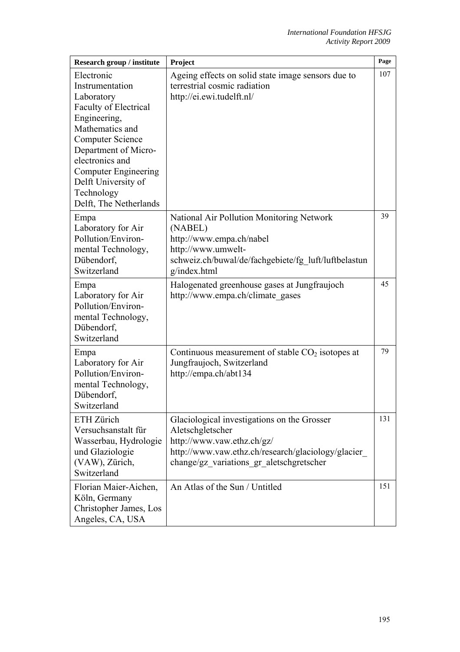| Research group / institute                                                                                                                                                                                                                                                         | Project                                                                                                                                                                                          | Page |
|------------------------------------------------------------------------------------------------------------------------------------------------------------------------------------------------------------------------------------------------------------------------------------|--------------------------------------------------------------------------------------------------------------------------------------------------------------------------------------------------|------|
| Electronic<br>Instrumentation<br>Laboratory<br><b>Faculty of Electrical</b><br>Engineering,<br>Mathematics and<br><b>Computer Science</b><br>Department of Micro-<br>electronics and<br><b>Computer Engineering</b><br>Delft University of<br>Technology<br>Delft, The Netherlands | Ageing effects on solid state image sensors due to<br>terrestrial cosmic radiation<br>http://ei.ewi.tudelft.nl/                                                                                  | 107  |
| Empa<br>Laboratory for Air<br>Pollution/Environ-<br>mental Technology,<br>Dübendorf,<br>Switzerland                                                                                                                                                                                | National Air Pollution Monitoring Network<br>(NABEL)<br>http://www.empa.ch/nabel<br>http://www.umwelt-<br>schweiz.ch/buwal/de/fachgebiete/fg luft/luftbelastun<br>g/index.html                   | 39   |
| Empa<br>Laboratory for Air<br>Pollution/Environ-<br>mental Technology,<br>Dübendorf,<br>Switzerland                                                                                                                                                                                | Halogenated greenhouse gases at Jungfraujoch<br>http://www.empa.ch/climategases                                                                                                                  | 45   |
| Empa<br>Laboratory for Air<br>Pollution/Environ-<br>mental Technology,<br>Dübendorf,<br>Switzerland                                                                                                                                                                                | Continuous measurement of stable $CO2$ isotopes at<br>Jungfraujoch, Switzerland<br>http://empa.ch/abt134                                                                                         | 79   |
| ETH Zürich<br>Versuchsanstalt für<br>Wasserbau, Hydrologie<br>und Glaziologie<br>(VAW), Zürich,<br>Switzerland                                                                                                                                                                     | Glaciological investigations on the Grosser<br>Aletschgletscher<br>http://www.vaw.ethz.ch/gz/<br>http://www.vaw.ethz.ch/research/glaciology/glacier_<br>change/gz variations gr aletschgretscher | 131  |
| Florian Maier-Aichen,<br>Köln, Germany<br>Christopher James, Los<br>Angeles, CA, USA                                                                                                                                                                                               | An Atlas of the Sun / Untitled                                                                                                                                                                   | 151  |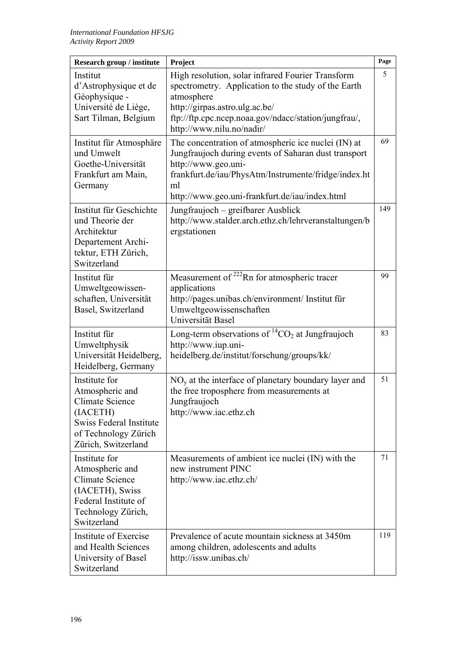| Research group / institute                                                                                                                       | Project                                                                                                                                                                                                                                            | Page |
|--------------------------------------------------------------------------------------------------------------------------------------------------|----------------------------------------------------------------------------------------------------------------------------------------------------------------------------------------------------------------------------------------------------|------|
| Institut<br>d'Astrophysique et de<br>Géophysique -<br>Université de Liège,<br>Sart Tilman, Belgium                                               | High resolution, solar infrared Fourier Transform<br>spectrometry. Application to the study of the Earth<br>atmosphere<br>http://girpas.astro.ulg.ac.be/<br>ftp://ftp.cpc.ncep.noaa.gov/ndacc/station/jungfrau/,<br>http://www.nilu.no/nadir/      | 5    |
| Institut für Atmosphäre<br>und Umwelt<br>Goethe-Universität<br>Frankfurt am Main,<br>Germany                                                     | The concentration of atmospheric ice nuclei (IN) at<br>Jungfraujoch during events of Saharan dust transport<br>http://www.geo.uni-<br>frankfurt.de/iau/PhysAtm/Instrumente/fridge/index.ht<br>ml<br>http://www.geo.uni-frankfurt.de/iau/index.html | 69   |
| Institut für Geschichte<br>und Theorie der<br>Architektur<br>Departement Archi-<br>tektur, ETH Zürich,<br>Switzerland                            | Jungfraujoch - greifbarer Ausblick<br>http://www.stalder.arch.ethz.ch/lehrveranstaltungen/b<br>ergstationen                                                                                                                                        | 149  |
| Institut für<br>Umweltgeowissen-<br>schaften, Universität<br>Basel, Switzerland                                                                  | Measurement of <sup>222</sup> Rn for atmospheric tracer<br>applications<br>http://pages.unibas.ch/environment/ Institut für<br>Umweltgeowissenschaften<br>Universität Basel                                                                        | 99   |
| Institut für<br>Umweltphysik<br>Universität Heidelberg,<br>Heidelberg, Germany                                                                   | Long-term observations of ${}^{14}CO_2$ at Jungfraujoch<br>http://www.iup.uni-<br>heidelberg.de/institut/forschung/groups/kk/                                                                                                                      | 83   |
| Institute for<br>Atmospheric and<br>Climate Science<br>(IACETH)<br><b>Swiss Federal Institute</b><br>of Technology Zürich<br>Zürich, Switzerland | $NOy$ at the interface of planetary boundary layer and<br>the free troposphere from measurements at<br>Jungfraujoch<br>http://www.iac.ethz.ch                                                                                                      | 51   |
| Institute for<br>Atmospheric and<br><b>Climate Science</b><br>(IACETH), Swiss<br>Federal Institute of<br>Technology Zürich,<br>Switzerland       | Measurements of ambient ice nuclei (IN) with the<br>new instrument PINC<br>http://www.iac.ethz.ch/                                                                                                                                                 | 71   |
| Institute of Exercise<br>and Health Sciences<br>University of Basel<br>Switzerland                                                               | Prevalence of acute mountain sickness at 3450m<br>among children, adolescents and adults<br>http://issw.unibas.ch/                                                                                                                                 | 119  |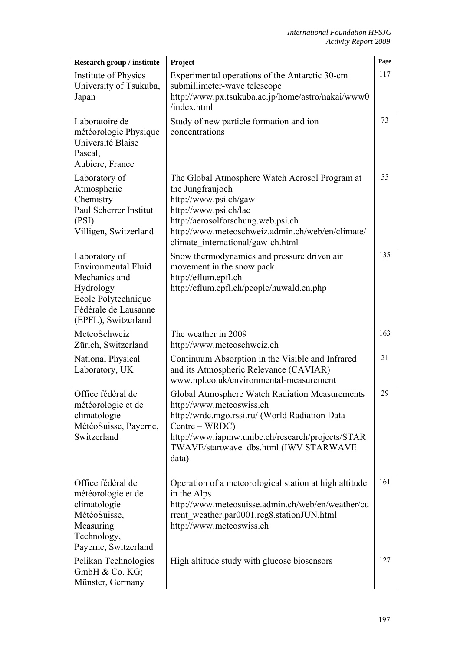| <b>Research group / institute</b>                                                                                                               | Project                                                                                                                                                                                                                                               | Page |
|-------------------------------------------------------------------------------------------------------------------------------------------------|-------------------------------------------------------------------------------------------------------------------------------------------------------------------------------------------------------------------------------------------------------|------|
| Institute of Physics<br>University of Tsukuba,<br>Japan                                                                                         | Experimental operations of the Antarctic 30-cm<br>submillimeter-wave telescope<br>http://www.px.tsukuba.ac.jp/home/astro/nakai/www0<br>/index.html                                                                                                    | 117  |
| Laboratoire de<br>météorologie Physique<br>Université Blaise<br>Pascal,<br>Aubiere, France                                                      | Study of new particle formation and ion<br>concentrations                                                                                                                                                                                             | 73   |
| Laboratory of<br>Atmospheric<br>Chemistry<br>Paul Scherrer Institut<br>(PSI)<br>Villigen, Switzerland                                           | The Global Atmosphere Watch Aerosol Program at<br>the Jungfraujoch<br>http://www.psi.ch/gaw<br>http://www.psi.ch/lac<br>http://aerosolforschung.web.psi.ch<br>http://www.meteoschweiz.admin.ch/web/en/climate/<br>climate international/gaw-ch.html   | 55   |
| Laboratory of<br><b>Environmental Fluid</b><br>Mechanics and<br>Hydrology<br>Ecole Polytechnique<br>Fédérale de Lausanne<br>(EPFL), Switzerland | Snow thermodynamics and pressure driven air<br>movement in the snow pack<br>http://eflum.epfl.ch<br>http://eflum.epfl.ch/people/huwald.en.php                                                                                                         | 135  |
| MeteoSchweiz<br>Zürich, Switzerland                                                                                                             | The weather in 2009<br>http://www.meteoschweiz.ch                                                                                                                                                                                                     | 163  |
| National Physical<br>Laboratory, UK                                                                                                             | Continuum Absorption in the Visible and Infrared<br>and its Atmospheric Relevance (CAVIAR)<br>www.npl.co.uk/environmental-measurement                                                                                                                 | 21   |
| Office fédéral de<br>météorologie et de<br>climatologie<br>MétéoSuisse, Payerne,<br>Switzerland                                                 | Global Atmosphere Watch Radiation Measurements<br>http://www.meteoswiss.ch<br>http://wrdc.mgo.rssi.ru/ (World Radiation Data<br>Centre – WRDC)<br>http://www.iapmw.unibe.ch/research/projects/STAR<br>TWAVE/startwave dbs.html (IWV STARWAVE<br>data) | 29   |
| Office fédéral de<br>météorologie et de<br>climatologie<br>MétéoSuisse,<br>Measuring<br>Technology,<br>Payerne, Switzerland                     | Operation of a meteorological station at high altitude<br>in the Alps<br>http://www.meteosuisse.admin.ch/web/en/weather/cu<br>rrent weather.par0001.reg8.stationJUN.html<br>http://www.meteoswiss.ch                                                  | 161  |
| Pelikan Technologies<br>GmbH & Co. KG;<br>Münster, Germany                                                                                      | High altitude study with glucose biosensors                                                                                                                                                                                                           | 127  |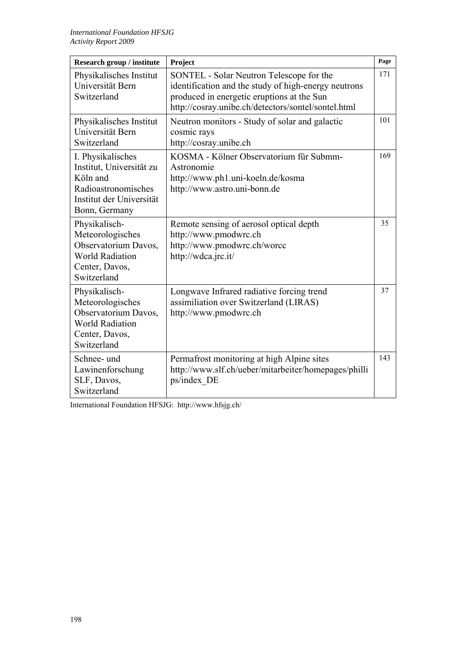| <b>Research group / institute</b>                                                                                             | Project                                                                                                                                                                                               | Page |
|-------------------------------------------------------------------------------------------------------------------------------|-------------------------------------------------------------------------------------------------------------------------------------------------------------------------------------------------------|------|
| Physikalisches Institut<br>Universität Bern<br>Switzerland                                                                    | SONTEL - Solar Neutron Telescope for the<br>identification and the study of high-energy neutrons<br>produced in energetic eruptions at the Sun<br>http://cosray.unibe.ch/detectors/sontel/sontel.html | 171  |
| Physikalisches Institut<br>Universität Bern<br>Switzerland                                                                    | Neutron monitors - Study of solar and galactic<br>cosmic rays<br>http://cosray.unibe.ch                                                                                                               | 101  |
| I. Physikalisches<br>Institut, Universität zu<br>Köln and<br>Radioastronomisches<br>Institut der Universität<br>Bonn, Germany | KOSMA - Kölner Observatorium für Submm-<br>Astronomie<br>http://www.ph1.uni-koeln.de/kosma<br>http://www.astro.uni-bonn.de                                                                            | 169  |
| Physikalisch-<br>Meteorologisches<br>Observatorium Davos,<br><b>World Radiation</b><br>Center, Davos,<br>Switzerland          | Remote sensing of aerosol optical depth<br>http://www.pmodwrc.ch<br>http://www.pmodwrc.ch/worcc<br>http://wdca.jrc.it/                                                                                | 35   |
| Physikalisch-<br>Meteorologisches<br>Observatorium Davos,<br><b>World Radiation</b><br>Center, Davos,<br>Switzerland          | Longwave Infrared radiative forcing trend<br>assimiliation over Switzerland (LIRAS)<br>http://www.pmodwrc.ch                                                                                          | 37   |
| Schnee- und<br>Lawinenforschung<br>SLF, Davos,<br>Switzerland                                                                 | Permafrost monitoring at high Alpine sites<br>http://www.slf.ch/ueber/mitarbeiter/homepages/philli<br>ps/index DE                                                                                     | 143  |

International Foundation HFSJG: http://www.hfsjg.ch/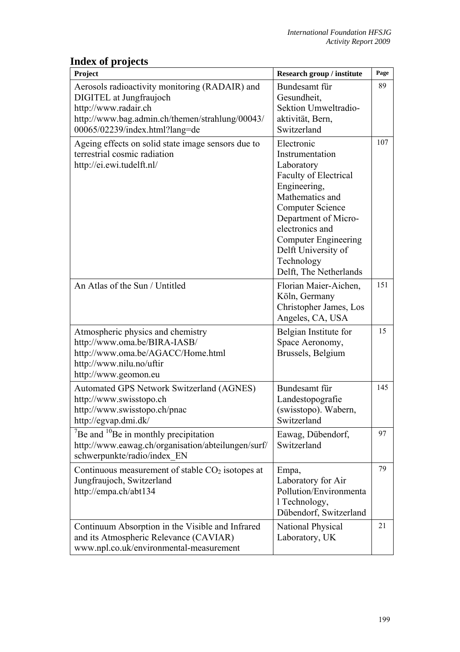## **Index of projects**

| Project                                                                                                                                                                                | Research group / institute                                                                                                                                                                                                                                                         | Page |
|----------------------------------------------------------------------------------------------------------------------------------------------------------------------------------------|------------------------------------------------------------------------------------------------------------------------------------------------------------------------------------------------------------------------------------------------------------------------------------|------|
| Aerosols radioactivity monitoring (RADAIR) and<br>DIGITEL at Jungfraujoch<br>http://www.radair.ch<br>http://www.bag.admin.ch/themen/strahlung/00043/<br>00065/02239/index.html?lang=de | Bundesamt für<br>Gesundheit,<br>Sektion Umweltradio-<br>aktivität, Bern,<br>Switzerland                                                                                                                                                                                            | 89   |
| Ageing effects on solid state image sensors due to<br>terrestrial cosmic radiation<br>http://ei.ewi.tudelft.nl/                                                                        | Electronic<br>Instrumentation<br>Laboratory<br><b>Faculty of Electrical</b><br>Engineering,<br>Mathematics and<br><b>Computer Science</b><br>Department of Micro-<br>electronics and<br><b>Computer Engineering</b><br>Delft University of<br>Technology<br>Delft, The Netherlands | 107  |
| An Atlas of the Sun / Untitled                                                                                                                                                         | Florian Maier-Aichen,<br>Köln, Germany<br>Christopher James, Los<br>Angeles, CA, USA                                                                                                                                                                                               | 151  |
| Atmospheric physics and chemistry<br>http://www.oma.be/BIRA-IASB/<br>http://www.oma.be/AGACC/Home.html<br>http://www.nilu.no/uftir<br>http://www.geomon.eu                             | Belgian Institute for<br>Space Aeronomy,<br>Brussels, Belgium                                                                                                                                                                                                                      | 15   |
| Automated GPS Network Switzerland (AGNES)<br>http://www.swisstopo.ch<br>http://www.swisstopo.ch/pnac<br>http://egvap.dmi.dk/                                                           | Bundesamt für<br>Landestopografie<br>(swisstopo). Wabern,<br>Switzerland                                                                                                                                                                                                           | 145  |
| $\mathrm{^{7}Be}$ and $\mathrm{^{10}Be}$ in monthly precipitation<br>http://www.eawag.ch/organisation/abteilungen/surf/<br>schwerpunkte/radio/index EN                                 | Eawag, Dübendorf,<br>Switzerland                                                                                                                                                                                                                                                   | 97   |
| Continuous measurement of stable CO <sub>2</sub> isotopes at<br>Jungfraujoch, Switzerland<br>http://empa.ch/abt134                                                                     | Empa,<br>Laboratory for Air<br>Pollution/Environmenta<br>1 Technology,<br>Dübendorf, Switzerland                                                                                                                                                                                   | 79   |
| Continuum Absorption in the Visible and Infrared<br>and its Atmospheric Relevance (CAVIAR)<br>www.npl.co.uk/environmental-measurement                                                  | <b>National Physical</b><br>Laboratory, UK                                                                                                                                                                                                                                         | 21   |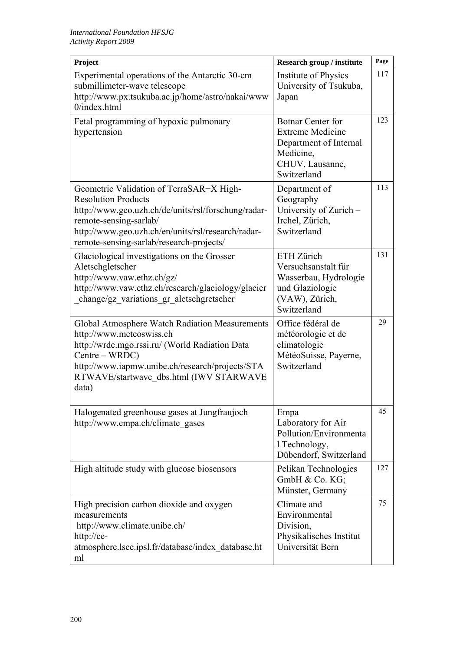| Project                                                                                                                                                                                                                                                   | Research group / institute                                                                                                   | Page |
|-----------------------------------------------------------------------------------------------------------------------------------------------------------------------------------------------------------------------------------------------------------|------------------------------------------------------------------------------------------------------------------------------|------|
| Experimental operations of the Antarctic 30-cm<br>submillimeter-wave telescope<br>http://www.px.tsukuba.ac.jp/home/astro/nakai/www<br>$0$ /index.html                                                                                                     | <b>Institute of Physics</b><br>University of Tsukuba,<br>Japan                                                               | 117  |
| Fetal programming of hypoxic pulmonary<br>hypertension                                                                                                                                                                                                    | <b>Botnar Center for</b><br><b>Extreme Medicine</b><br>Department of Internal<br>Medicine,<br>CHUV, Lausanne,<br>Switzerland | 123  |
| Geometric Validation of TerraSAR-X High-<br><b>Resolution Products</b><br>http://www.geo.uzh.ch/de/units/rsl/forschung/radar-<br>remote-sensing-sarlab/<br>http://www.geo.uzh.ch/en/units/rsl/research/radar-<br>remote-sensing-sarlab/research-projects/ | Department of<br>Geography<br>University of Zurich -<br>Irchel, Zürich,<br>Switzerland                                       | 113  |
| Glaciological investigations on the Grosser<br>Aletschgletscher<br>http://www.vaw.ethz.ch/gz/<br>http://www.vaw.ethz.ch/research/glaciology/glacier<br>change/gz variations gr aletschgretscher                                                           | ETH Zürich<br>Versuchsanstalt für<br>Wasserbau, Hydrologie<br>und Glaziologie<br>(VAW), Zürich,<br>Switzerland               | 131  |
| Global Atmosphere Watch Radiation Measurements<br>http://www.meteoswiss.ch<br>http://wrdc.mgo.rssi.ru/ (World Radiation Data<br>Centre – WRDC)<br>http://www.iapmw.unibe.ch/research/projects/STA<br>RTWAVE/startwave dbs.html (IWV STARWAVE<br>data)     | Office fédéral de<br>météorologie et de<br>climatologie<br>MétéoSuisse, Payerne,<br>Switzerland                              | 29   |
| Halogenated greenhouse gases at Jungfraujoch<br>http://www.empa.ch/climategases                                                                                                                                                                           | Empa<br>Laboratory for Air<br>Pollution/Environmenta<br>1 Technology,<br>Dübendorf, Switzerland                              | 45   |
| High altitude study with glucose biosensors                                                                                                                                                                                                               | Pelikan Technologies<br>GmbH & Co. KG;<br>Münster, Germany                                                                   | 127  |
| High precision carbon dioxide and oxygen<br>measurements<br>http://www.climate.unibe.ch/<br>http://ce-<br>atmosphere.lsce.ipsl.fr/database/index database.ht<br>ml                                                                                        | Climate and<br>Environmental<br>Division,<br>Physikalisches Institut<br>Universität Bern                                     | 75   |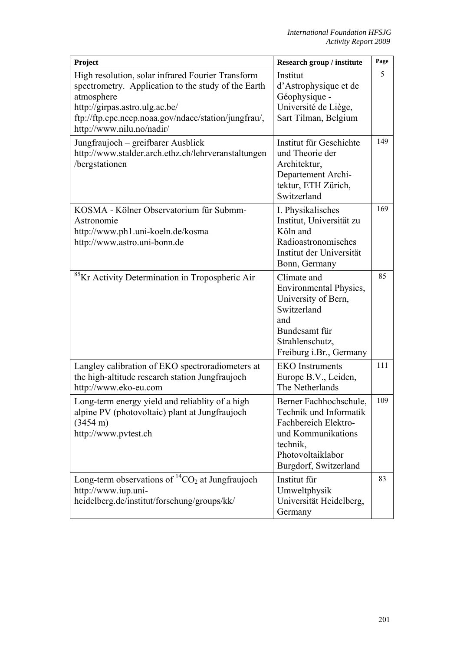| Project                                                                                                                                                                                                                                       | Research group / institute                                                                                                                               | Page |
|-----------------------------------------------------------------------------------------------------------------------------------------------------------------------------------------------------------------------------------------------|----------------------------------------------------------------------------------------------------------------------------------------------------------|------|
| High resolution, solar infrared Fourier Transform<br>spectrometry. Application to the study of the Earth<br>atmosphere<br>http://girpas.astro.ulg.ac.be/<br>ftp://ftp.cpc.ncep.noaa.gov/ndacc/station/jungfrau/,<br>http://www.nilu.no/nadir/ | Institut<br>d'Astrophysique et de<br>Géophysique -<br>Université de Liège,<br>Sart Tilman, Belgium                                                       | 5    |
| Jungfraujoch – greifbarer Ausblick<br>http://www.stalder.arch.ethz.ch/lehrveranstaltungen<br>/bergstationen                                                                                                                                   | Institut für Geschichte<br>und Theorie der<br>Architektur,<br>Departement Archi-<br>tektur, ETH Zürich,<br>Switzerland                                   | 149  |
| KOSMA - Kölner Observatorium für Submm-<br>Astronomie<br>http://www.ph1.uni-koeln.de/kosma<br>http://www.astro.uni-bonn.de                                                                                                                    | I. Physikalisches<br>Institut, Universität zu<br>Köln and<br>Radioastronomisches<br>Institut der Universität<br>Bonn, Germany                            | 169  |
| <sup>85</sup> Kr Activity Determination in Tropospheric Air                                                                                                                                                                                   | Climate and<br>Environmental Physics,<br>University of Bern,<br>Switzerland<br>and<br>Bundesamt für<br>Strahlenschutz,<br>Freiburg i.Br., Germany        | 85   |
| Langley calibration of EKO spectroradiometers at<br>the high-altitude research station Jungfraujoch<br>http://www.eko-eu.com                                                                                                                  | <b>EKO</b> Instruments<br>Europe B.V., Leiden,<br>The Netherlands                                                                                        | 111  |
| Long-term energy yield and reliablity of a high<br>alpine PV (photovoltaic) plant at Jungfraujoch<br>$(3454 \text{ m})$<br>http://www.pvtest.ch                                                                                               | Berner Fachhochschule,<br>Technik und Informatik<br>Fachbereich Elektro-<br>und Kommunikations<br>technik,<br>Photovoltaiklabor<br>Burgdorf, Switzerland | 109  |
| Long-term observations of ${}^{14}CO_2$ at Jungfraujoch<br>http://www.iup.uni-<br>heidelberg.de/institut/forschung/groups/kk/                                                                                                                 | Institut für<br>Umweltphysik<br>Universität Heidelberg,<br>Germany                                                                                       | 83   |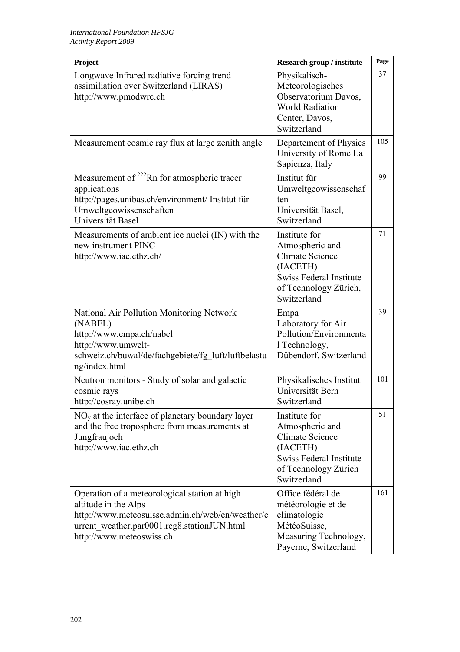| Project                                                                                                                                                                                              | Research group / institute                                                                                                                | Page |
|------------------------------------------------------------------------------------------------------------------------------------------------------------------------------------------------------|-------------------------------------------------------------------------------------------------------------------------------------------|------|
| Longwave Infrared radiative forcing trend<br>assimiliation over Switzerland (LIRAS)<br>http://www.pmodwrc.ch                                                                                         | Physikalisch-<br>Meteorologisches<br>Observatorium Davos,<br><b>World Radiation</b><br>Center, Davos,<br>Switzerland                      | 37   |
| Measurement cosmic ray flux at large zenith angle                                                                                                                                                    | Departement of Physics<br>University of Rome La<br>Sapienza, Italy                                                                        | 105  |
| Measurement of <sup>222</sup> Rn for atmospheric tracer<br>applications<br>http://pages.unibas.ch/environment/ Institut für<br>Umweltgeowissenschaften<br>Universität Basel                          | Institut für<br>Umweltgeowissenschaf<br>ten<br>Universität Basel,<br>Switzerland                                                          | 99   |
| Measurements of ambient ice nuclei (IN) with the<br>new instrument PINC<br>http://www.iac.ethz.ch/                                                                                                   | Institute for<br>Atmospheric and<br><b>Climate Science</b><br>(IACETH)<br>Swiss Federal Institute<br>of Technology Zürich,<br>Switzerland | 71   |
| National Air Pollution Monitoring Network<br>(NABEL)<br>http://www.empa.ch/nabel<br>http://www.umwelt-<br>schweiz.ch/buwal/de/fachgebiete/fg luft/luftbelastu<br>ng/index.html                       | Empa<br>Laboratory for Air<br>Pollution/Environmenta<br>1 Technology,<br>Dübendorf, Switzerland                                           | 39   |
| Neutron monitors - Study of solar and galactic<br>cosmic rays<br>http://cosray.unibe.ch                                                                                                              | Physikalisches Institut<br>Universität Bern<br>Switzerland                                                                                | 101  |
| $NOv$ at the interface of planetary boundary layer<br>and the free troposphere from measurements at<br>Jungfraujoch<br>http://www.iac.ethz.ch                                                        | Institute for<br>Atmospheric and<br>Climate Science<br>(IACETH)<br>Swiss Federal Institute<br>of Technology Zürich<br>Switzerland         | 51   |
| Operation of a meteorological station at high<br>altitude in the Alps<br>http://www.meteosuisse.admin.ch/web/en/weather/c<br>urrent_weather.par0001.reg8.stationJUN.html<br>http://www.meteoswiss.ch | Office fédéral de<br>météorologie et de<br>climatologie<br>MétéoSuisse,<br>Measuring Technology,<br>Payerne, Switzerland                  | 161  |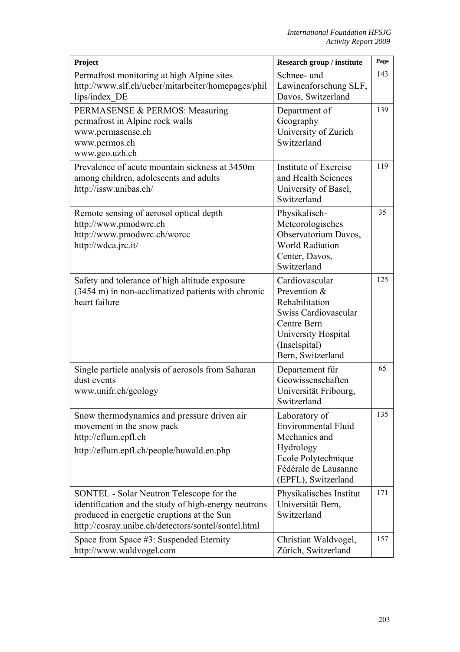| Project                                                                                                                                                                                               | Research group / institute                                                                                                                           | Page |
|-------------------------------------------------------------------------------------------------------------------------------------------------------------------------------------------------------|------------------------------------------------------------------------------------------------------------------------------------------------------|------|
| Permafrost monitoring at high Alpine sites<br>http://www.slf.ch/ueber/mitarbeiter/homepages/phil<br>lips/index DE                                                                                     | Schnee- und<br>Lawinenforschung SLF,<br>Davos, Switzerland                                                                                           | 143  |
| PERMASENSE & PERMOS: Measuring<br>permafrost in Alpine rock walls<br>www.permasense.ch<br>www.permos.ch<br>www.geo.uzh.ch                                                                             | Department of<br>Geography<br>University of Zurich<br>Switzerland                                                                                    | 139  |
| Prevalence of acute mountain sickness at 3450m<br>among children, adolescents and adults<br>http://issw.unibas.ch/                                                                                    | Institute of Exercise<br>and Health Sciences<br>University of Basel,<br>Switzerland                                                                  | 119  |
| Remote sensing of aerosol optical depth<br>http://www.pmodwrc.ch<br>http://www.pmodwrc.ch/worcc<br>http://wdca.jrc.it/                                                                                | Physikalisch-<br>Meteorologisches<br>Observatorium Davos,<br><b>World Radiation</b><br>Center, Davos,<br>Switzerland                                 | 35   |
| Safety and tolerance of high altitude exposure<br>(3454 m) in non-acclimatized patients with chronic<br>heart failure                                                                                 | Cardiovascular<br>Prevention &<br>Rehabilitation<br>Swiss Cardiovascular<br>Centre Bern<br>University Hospital<br>(Inselspital)<br>Bern, Switzerland | 125  |
| Single particle analysis of aerosols from Saharan<br>dust events<br>www.unifr.ch/geology                                                                                                              | Departement für<br>Geowissenschaften<br>Universität Fribourg,<br>Switzerland                                                                         | 65   |
| Snow thermodynamics and pressure driven air<br>movement in the snow pack<br>http://eflum.epfl.ch<br>http://eflum.epfl.ch/people/huwald.en.php                                                         | Laboratory of<br><b>Environmental Fluid</b><br>Mechanics and<br>Hydrology<br>Ecole Polytechnique<br>Fédérale de Lausanne<br>(EPFL), Switzerland      | 135  |
| SONTEL - Solar Neutron Telescope for the<br>identification and the study of high-energy neutrons<br>produced in energetic eruptions at the Sun<br>http://cosray.unibe.ch/detectors/sontel/sontel.html | Physikalisches Institut<br>Universität Bern,<br>Switzerland                                                                                          | 171  |
| Space from Space #3: Suspended Eternity<br>http://www.waldvogel.com                                                                                                                                   | Christian Waldvogel,<br>Zürich, Switzerland                                                                                                          | 157  |